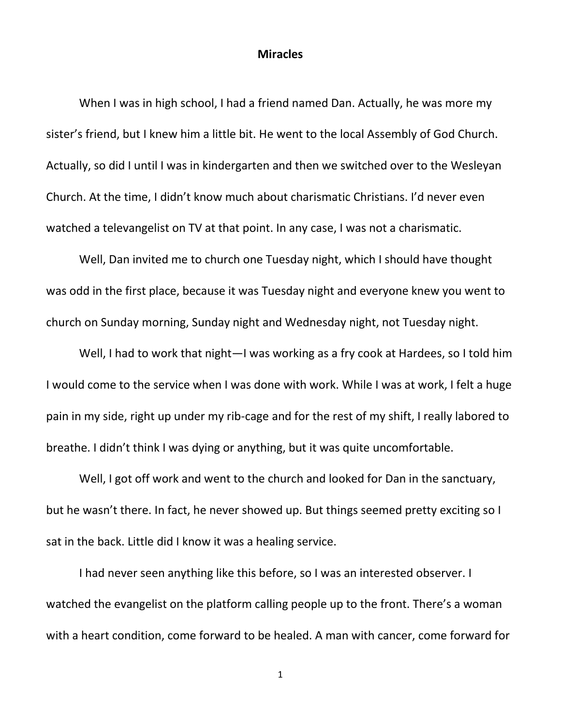## **Miracles**

When I was in high school, I had a friend named Dan. Actually, he was more my sister's friend, but I knew him a little bit. He went to the local Assembly of God Church. Actually, so did I until I was in kindergarten and then we switched over to the Wesleyan Church. At the time, I didn't know much about charismatic Christians. I'd never even watched a televangelist on TV at that point. In any case, I was not a charismatic.

Well, Dan invited me to church one Tuesday night, which I should have thought was odd in the first place, because it was Tuesday night and everyone knew you went to church on Sunday morning, Sunday night and Wednesday night, not Tuesday night.

Well, I had to work that night—I was working as a fry cook at Hardees, so I told him I would come to the service when I was done with work. While I was at work, I felt a huge pain in my side, right up under my rib-cage and for the rest of my shift, I really labored to breathe. I didn't think I was dying or anything, but it was quite uncomfortable.

Well, I got off work and went to the church and looked for Dan in the sanctuary, but he wasn't there. In fact, he never showed up. But things seemed pretty exciting so I sat in the back. Little did I know it was a healing service.

I had never seen anything like this before, so I was an interested observer. I watched the evangelist on the platform calling people up to the front. There's a woman with a heart condition, come forward to be healed. A man with cancer, come forward for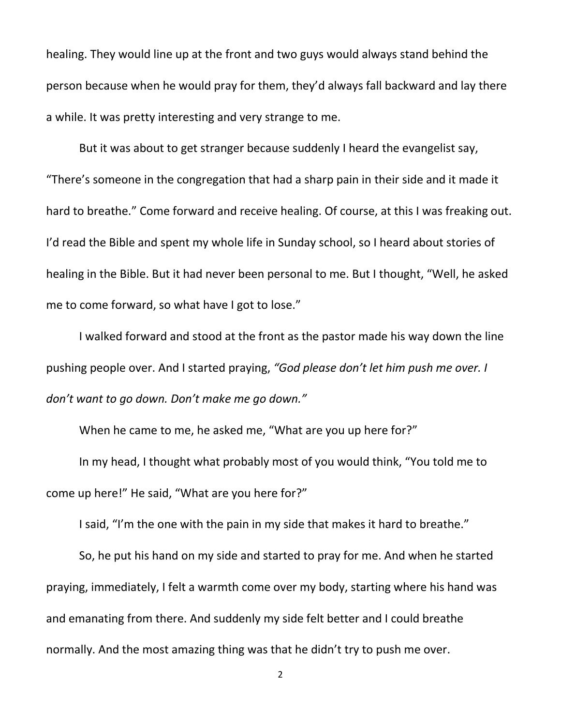healing. They would line up at the front and two guys would always stand behind the person because when he would pray for them, they'd always fall backward and lay there a while. It was pretty interesting and very strange to me.

But it was about to get stranger because suddenly I heard the evangelist say, "There's someone in the congregation that had a sharp pain in their side and it made it hard to breathe." Come forward and receive healing. Of course, at this I was freaking out. I'd read the Bible and spent my whole life in Sunday school, so I heard about stories of healing in the Bible. But it had never been personal to me. But I thought, "Well, he asked me to come forward, so what have I got to lose."

I walked forward and stood at the front as the pastor made his way down the line pushing people over. And I started praying, *"God please don't let him push me over. I don't want to go down. Don't make me go down."*

When he came to me, he asked me, "What are you up here for?" In my head, I thought what probably most of you would think, "You told me to come up here!" He said, "What are you here for?"

I said, "I'm the one with the pain in my side that makes it hard to breathe."

So, he put his hand on my side and started to pray for me. And when he started praying, immediately, I felt a warmth come over my body, starting where his hand was and emanating from there. And suddenly my side felt better and I could breathe normally. And the most amazing thing was that he didn't try to push me over.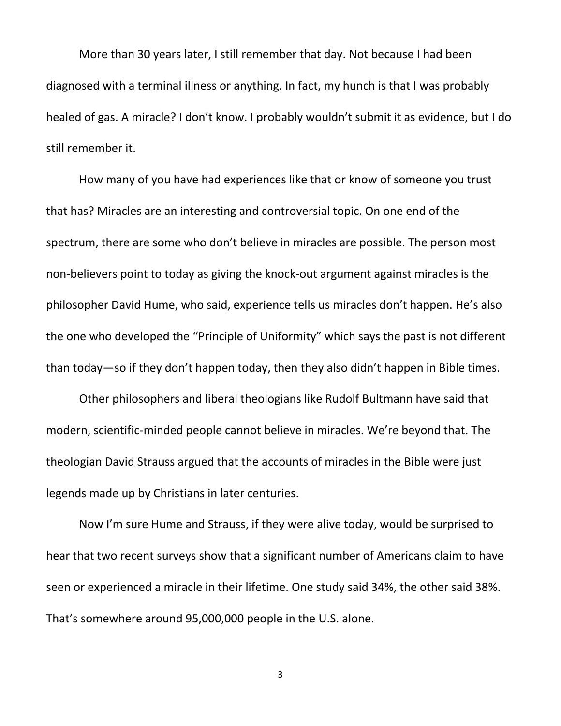More than 30 years later, I still remember that day. Not because I had been diagnosed with a terminal illness or anything. In fact, my hunch is that I was probably healed of gas. A miracle? I don't know. I probably wouldn't submit it as evidence, but I do still remember it.

How many of you have had experiences like that or know of someone you trust that has? Miracles are an interesting and controversial topic. On one end of the spectrum, there are some who don't believe in miracles are possible. The person most non-believers point to today as giving the knock-out argument against miracles is the philosopher David Hume, who said, experience tells us miracles don't happen. He's also the one who developed the "Principle of Uniformity" which says the past is not different than today—so if they don't happen today, then they also didn't happen in Bible times.

Other philosophers and liberal theologians like Rudolf Bultmann have said that modern, scientific-minded people cannot believe in miracles. We're beyond that. The theologian David Strauss argued that the accounts of miracles in the Bible were just legends made up by Christians in later centuries.

Now I'm sure Hume and Strauss, if they were alive today, would be surprised to hear that two recent surveys show that a significant number of Americans claim to have seen or experienced a miracle in their lifetime. One study said 34%, the other said 38%. That's somewhere around 95,000,000 people in the U.S. alone.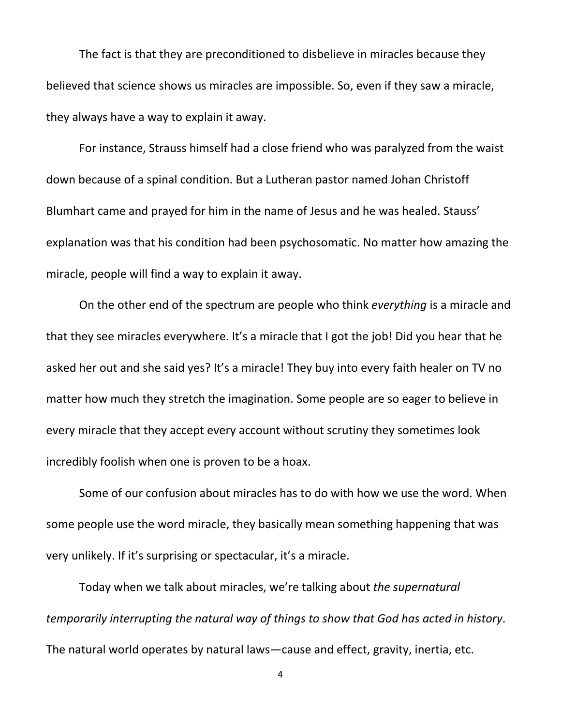The fact is that they are preconditioned to disbelieve in miracles because they believed that science shows us miracles are impossible. So, even if they saw a miracle, they always have a way to explain it away.

For instance, Strauss himself had a close friend who was paralyzed from the waist down because of a spinal condition. But a Lutheran pastor named Johan Christoff Blumhart came and prayed for him in the name of Jesus and he was healed. Stauss' explanation was that his condition had been psychosomatic. No matter how amazing the miracle, people will find a way to explain it away.

On the other end of the spectrum are people who think *everything* is a miracle and that they see miracles everywhere. It's a miracle that I got the job! Did you hear that he asked her out and she said yes? It's a miracle! They buy into every faith healer on TV no matter how much they stretch the imagination. Some people are so eager to believe in every miracle that they accept every account without scrutiny they sometimes look incredibly foolish when one is proven to be a hoax.

Some of our confusion about miracles has to do with how we use the word. When some people use the word miracle, they basically mean something happening that was very unlikely. If it's surprising or spectacular, it's a miracle.

Today when we talk about miracles, we're talking about *the supernatural temporarily interrupting the natural way of things to show that God has acted in history*. The natural world operates by natural laws—cause and effect, gravity, inertia, etc.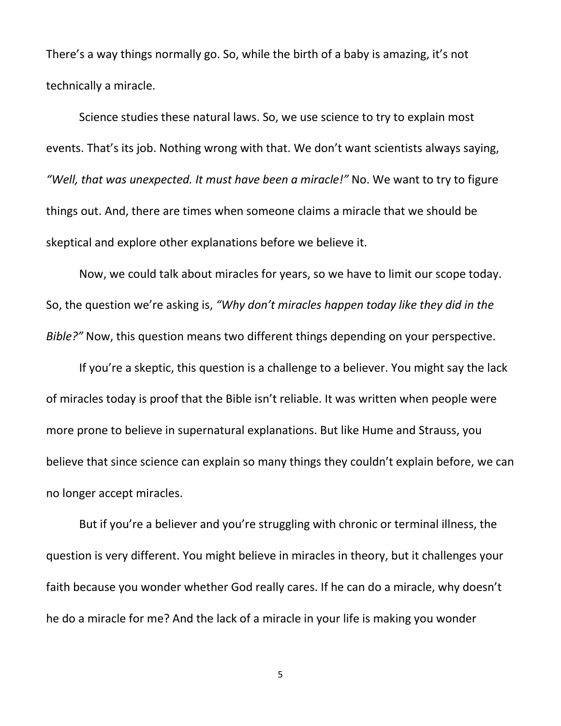There's a way things normally go. So, while the birth of a baby is amazing, it's not technically a miracle.

Science studies these natural laws. So, we use science to try to explain most events. That's its job. Nothing wrong with that. We don't want scientists always saying, *"Well, that was unexpected. It must have been a miracle!"* No. We want to try to figure things out. And, there are times when someone claims a miracle that we should be skeptical and explore other explanations before we believe it.

Now, we could talk about miracles for years, so we have to limit our scope today. So, the question we're asking is, *"Why don't miracles happen today like they did in the Bible?"* Now, this question means two different things depending on your perspective.

If you're a skeptic, this question is a challenge to a believer. You might say the lack of miracles today is proof that the Bible isn't reliable. It was written when people were more prone to believe in supernatural explanations. But like Hume and Strauss, you believe that since science can explain so many things they couldn't explain before, we can no longer accept miracles.

But if you're a believer and you're struggling with chronic or terminal illness, the question is very different. You might believe in miracles in theory, but it challenges your faith because you wonder whether God really cares. If he can do a miracle, why doesn't he do a miracle for me? And the lack of a miracle in your life is making you wonder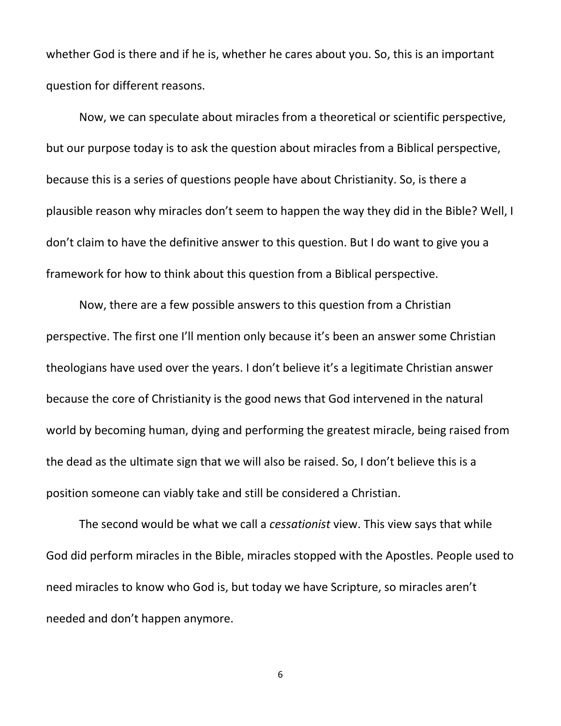whether God is there and if he is, whether he cares about you. So, this is an important question for different reasons.

Now, we can speculate about miracles from a theoretical or scientific perspective, but our purpose today is to ask the question about miracles from a Biblical perspective, because this is a series of questions people have about Christianity. So, is there a plausible reason why miracles don't seem to happen the way they did in the Bible? Well, I don't claim to have the definitive answer to this question. But I do want to give you a framework for how to think about this question from a Biblical perspective.

Now, there are a few possible answers to this question from a Christian perspective. The first one I'll mention only because it's been an answer some Christian theologians have used over the years. I don't believe it's a legitimate Christian answer because the core of Christianity is the good news that God intervened in the natural world by becoming human, dying and performing the greatest miracle, being raised from the dead as the ultimate sign that we will also be raised. So, I don't believe this is a position someone can viably take and still be considered a Christian.

The second would be what we call a *cessationist* view. This view says that while God did perform miracles in the Bible, miracles stopped with the Apostles. People used to need miracles to know who God is, but today we have Scripture, so miracles aren't needed and don't happen anymore.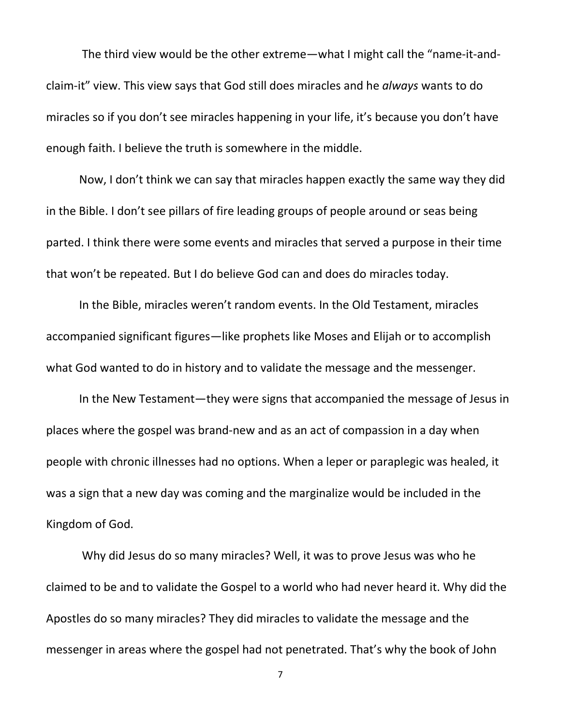The third view would be the other extreme—what I might call the "name-it-andclaim-it" view. This view says that God still does miracles and he *always* wants to do miracles so if you don't see miracles happening in your life, it's because you don't have enough faith. I believe the truth is somewhere in the middle.

Now, I don't think we can say that miracles happen exactly the same way they did in the Bible. I don't see pillars of fire leading groups of people around or seas being parted. I think there were some events and miracles that served a purpose in their time that won't be repeated. But I do believe God can and does do miracles today.

In the Bible, miracles weren't random events. In the Old Testament, miracles accompanied significant figures—like prophets like Moses and Elijah or to accomplish what God wanted to do in history and to validate the message and the messenger.

In the New Testament—they were signs that accompanied the message of Jesus in places where the gospel was brand-new and as an act of compassion in a day when people with chronic illnesses had no options. When a leper or paraplegic was healed, it was a sign that a new day was coming and the marginalize would be included in the Kingdom of God.

Why did Jesus do so many miracles? Well, it was to prove Jesus was who he claimed to be and to validate the Gospel to a world who had never heard it. Why did the Apostles do so many miracles? They did miracles to validate the message and the messenger in areas where the gospel had not penetrated. That's why the book of John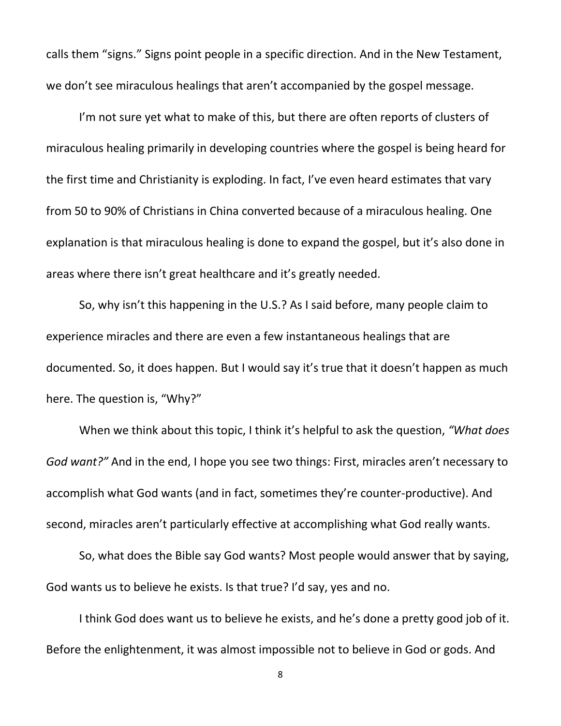calls them "signs." Signs point people in a specific direction. And in the New Testament, we don't see miraculous healings that aren't accompanied by the gospel message.

I'm not sure yet what to make of this, but there are often reports of clusters of miraculous healing primarily in developing countries where the gospel is being heard for the first time and Christianity is exploding. In fact, I've even heard estimates that vary from 50 to 90% of Christians in China converted because of a miraculous healing. One explanation is that miraculous healing is done to expand the gospel, but it's also done in areas where there isn't great healthcare and it's greatly needed.

So, why isn't this happening in the U.S.? As I said before, many people claim to experience miracles and there are even a few instantaneous healings that are documented. So, it does happen. But I would say it's true that it doesn't happen as much here. The question is, "Why?"

When we think about this topic, I think it's helpful to ask the question, *"What does God want?"* And in the end, I hope you see two things: First, miracles aren't necessary to accomplish what God wants (and in fact, sometimes they're counter-productive). And second, miracles aren't particularly effective at accomplishing what God really wants.

So, what does the Bible say God wants? Most people would answer that by saying, God wants us to believe he exists. Is that true? I'd say, yes and no.

I think God does want us to believe he exists, and he's done a pretty good job of it. Before the enlightenment, it was almost impossible not to believe in God or gods. And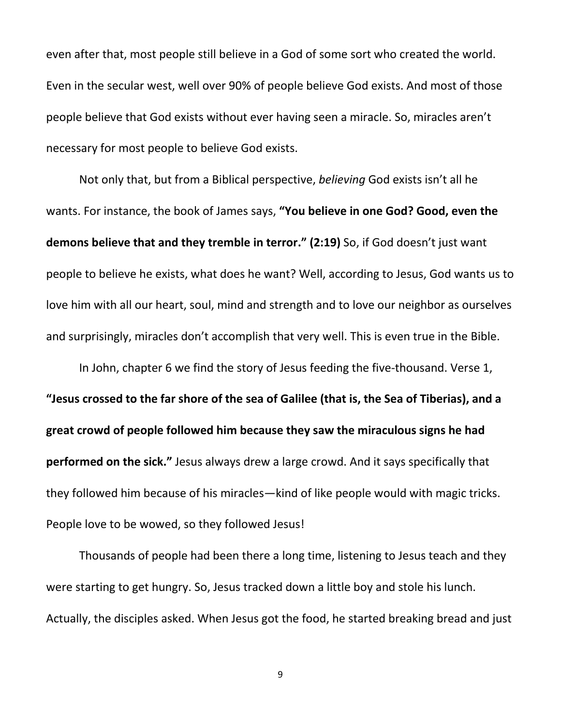even after that, most people still believe in a God of some sort who created the world. Even in the secular west, well over 90% of people believe God exists. And most of those people believe that God exists without ever having seen a miracle. So, miracles aren't necessary for most people to believe God exists.

Not only that, but from a Biblical perspective, *believing* God exists isn't all he wants. For instance, the book of James says, **"You believe in one God? Good, even the demons believe that and they tremble in terror." (2:19)** So, if God doesn't just want people to believe he exists, what does he want? Well, according to Jesus, God wants us to love him with all our heart, soul, mind and strength and to love our neighbor as ourselves and surprisingly, miracles don't accomplish that very well. This is even true in the Bible.

In John, chapter 6 we find the story of Jesus feeding the five-thousand. Verse 1, **"Jesus crossed to the far shore of the sea of Galilee (that is, the Sea of Tiberias), and a great crowd of people followed him because they saw the miraculous signs he had performed on the sick."** Jesus always drew a large crowd. And it says specifically that they followed him because of his miracles—kind of like people would with magic tricks. People love to be wowed, so they followed Jesus!

Thousands of people had been there a long time, listening to Jesus teach and they were starting to get hungry. So, Jesus tracked down a little boy and stole his lunch. Actually, the disciples asked. When Jesus got the food, he started breaking bread and just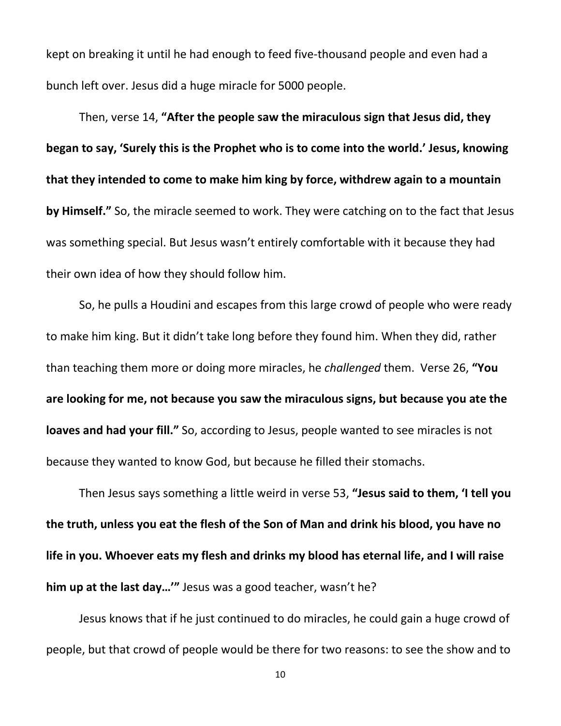kept on breaking it until he had enough to feed five-thousand people and even had a bunch left over. Jesus did a huge miracle for 5000 people.

Then, verse 14, **"After the people saw the miraculous sign that Jesus did, they began to say, 'Surely this is the Prophet who is to come into the world.' Jesus, knowing that they intended to come to make him king by force, withdrew again to a mountain by Himself."** So, the miracle seemed to work. They were catching on to the fact that Jesus was something special. But Jesus wasn't entirely comfortable with it because they had their own idea of how they should follow him.

So, he pulls a Houdini and escapes from this large crowd of people who were ready to make him king. But it didn't take long before they found him. When they did, rather than teaching them more or doing more miracles, he *challenged* them. Verse 26, **"You are looking for me, not because you saw the miraculous signs, but because you ate the loaves and had your fill."** So, according to Jesus, people wanted to see miracles is not because they wanted to know God, but because he filled their stomachs.

Then Jesus says something a little weird in verse 53, **"Jesus said to them, 'I tell you the truth, unless you eat the flesh of the Son of Man and drink his blood, you have no life in you. Whoever eats my flesh and drinks my blood has eternal life, and I will raise him up at the last day…'"** Jesus was a good teacher, wasn't he?

Jesus knows that if he just continued to do miracles, he could gain a huge crowd of people, but that crowd of people would be there for two reasons: to see the show and to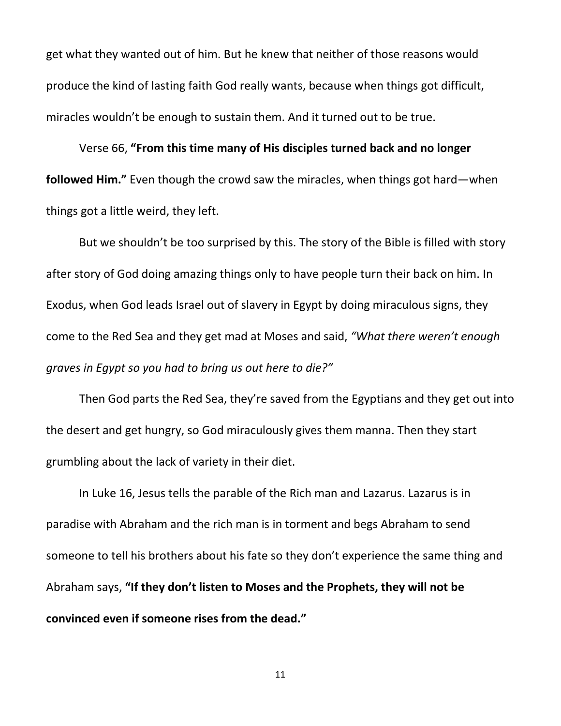get what they wanted out of him. But he knew that neither of those reasons would produce the kind of lasting faith God really wants, because when things got difficult, miracles wouldn't be enough to sustain them. And it turned out to be true.

Verse 66, **"From this time many of His disciples turned back and no longer followed Him."** Even though the crowd saw the miracles, when things got hard—when things got a little weird, they left.

But we shouldn't be too surprised by this. The story of the Bible is filled with story after story of God doing amazing things only to have people turn their back on him. In Exodus, when God leads Israel out of slavery in Egypt by doing miraculous signs, they come to the Red Sea and they get mad at Moses and said, *"What there weren't enough graves in Egypt so you had to bring us out here to die?"*

Then God parts the Red Sea, they're saved from the Egyptians and they get out into the desert and get hungry, so God miraculously gives them manna. Then they start grumbling about the lack of variety in their diet.

In Luke 16, Jesus tells the parable of the Rich man and Lazarus. Lazarus is in paradise with Abraham and the rich man is in torment and begs Abraham to send someone to tell his brothers about his fate so they don't experience the same thing and Abraham says, **"If they don't listen to Moses and the Prophets, they will not be convinced even if someone rises from the dead."**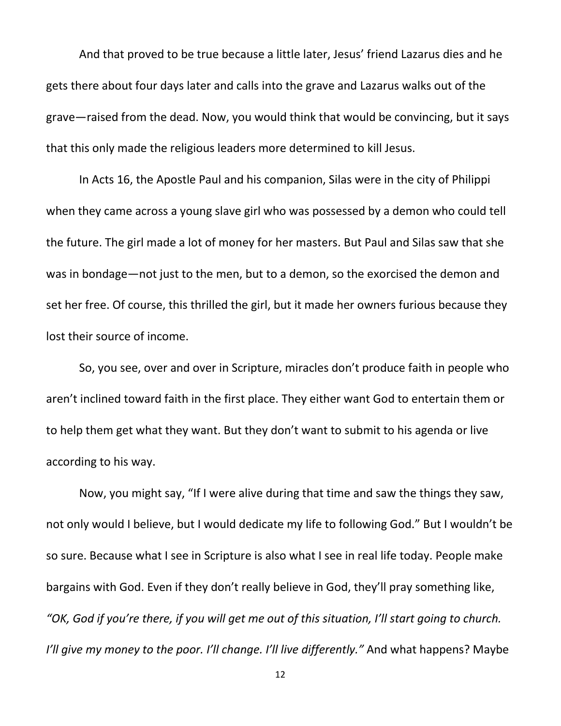And that proved to be true because a little later, Jesus' friend Lazarus dies and he gets there about four days later and calls into the grave and Lazarus walks out of the grave—raised from the dead. Now, you would think that would be convincing, but it says that this only made the religious leaders more determined to kill Jesus.

In Acts 16, the Apostle Paul and his companion, Silas were in the city of Philippi when they came across a young slave girl who was possessed by a demon who could tell the future. The girl made a lot of money for her masters. But Paul and Silas saw that she was in bondage—not just to the men, but to a demon, so the exorcised the demon and set her free. Of course, this thrilled the girl, but it made her owners furious because they lost their source of income.

So, you see, over and over in Scripture, miracles don't produce faith in people who aren't inclined toward faith in the first place. They either want God to entertain them or to help them get what they want. But they don't want to submit to his agenda or live according to his way.

Now, you might say, "If I were alive during that time and saw the things they saw, not only would I believe, but I would dedicate my life to following God." But I wouldn't be so sure. Because what I see in Scripture is also what I see in real life today. People make bargains with God. Even if they don't really believe in God, they'll pray something like, *"OK, God if you're there, if you will get me out of this situation, I'll start going to church. I'll give my money to the poor. I'll change. I'll live differently."* And what happens? Maybe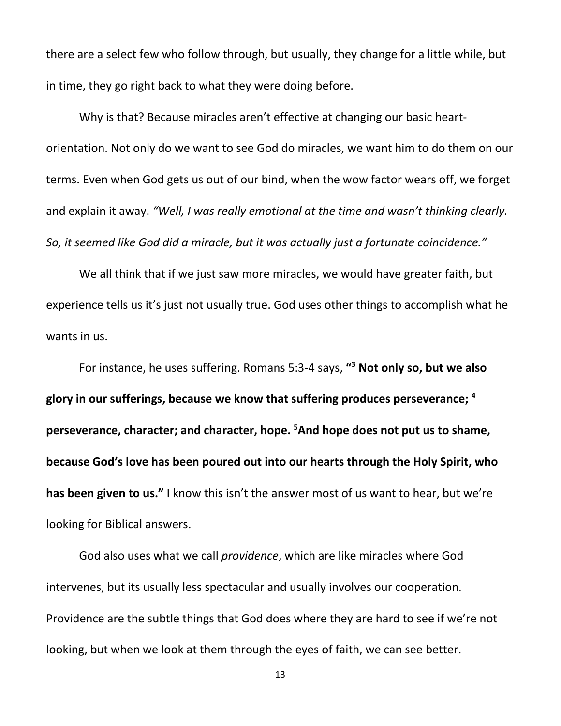there are a select few who follow through, but usually, they change for a little while, but in time, they go right back to what they were doing before.

Why is that? Because miracles aren't effective at changing our basic heartorientation. Not only do we want to see God do miracles, we want him to do them on our terms. Even when God gets us out of our bind, when the wow factor wears off, we forget and explain it away. *"Well, I was really emotional at the time and wasn't thinking clearly. So, it seemed like God did a miracle, but it was actually just a fortunate coincidence."*

We all think that if we just saw more miracles, we would have greater faith, but experience tells us it's just not usually true. God uses other things to accomplish what he wants in us.

For instance, he uses suffering. Romans 5:3-4 says, **"3 Not only so, but we also glory in our sufferings, because we know that suffering produces perseverance; 4 perseverance, character; and character, hope. 5 And hope does not put us to shame, because God's love has been poured out into our hearts through the Holy Spirit, who has been given to us."** I know this isn't the answer most of us want to hear, but we're looking for Biblical answers.

God also uses what we call *providence*, which are like miracles where God intervenes, but its usually less spectacular and usually involves our cooperation. Providence are the subtle things that God does where they are hard to see if we're not looking, but when we look at them through the eyes of faith, we can see better.